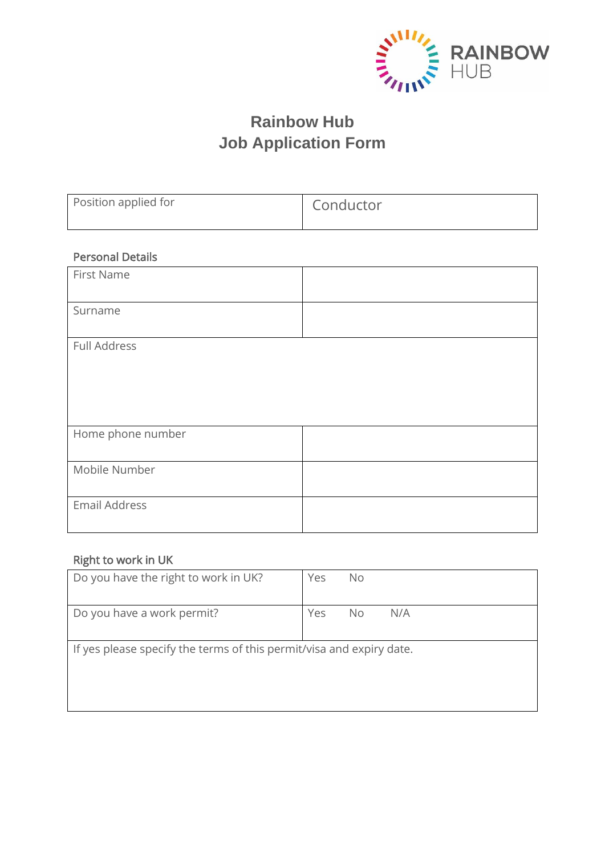

# **Rainbow Hub Job Application Form**

| Position applied for    | Conductor |
|-------------------------|-----------|
| <b>Personal Details</b> |           |
| First Name              |           |
| Surname                 |           |
| <b>Full Address</b>     |           |
|                         |           |
|                         |           |
| Home phone number       |           |
| Mobile Number           |           |
| <b>Email Address</b>    |           |

## Right to work in UK

| Do you have the right to work in UK?                                 | Yes | No. |     |
|----------------------------------------------------------------------|-----|-----|-----|
| Do you have a work permit?                                           | Yes | No. | N/A |
| If yes please specify the terms of this permit/visa and expiry date. |     |     |     |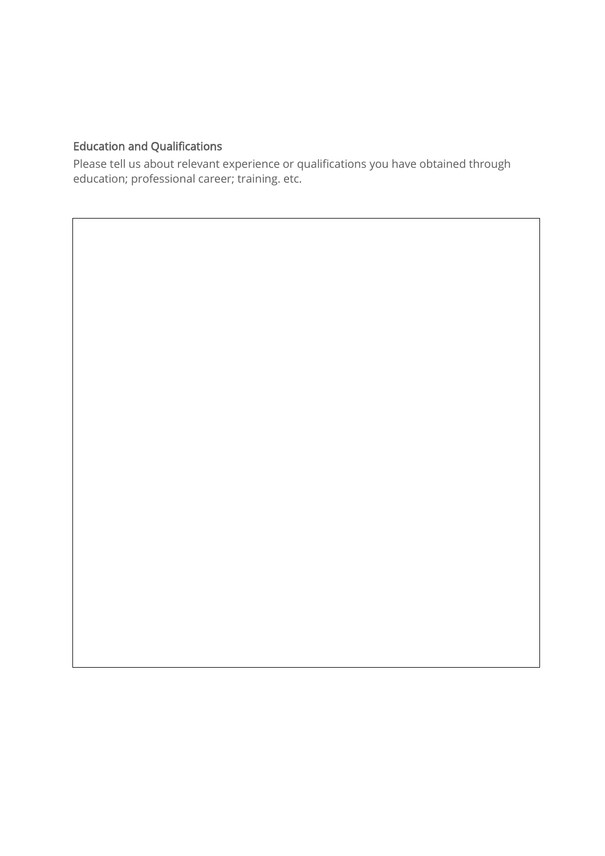## Education and Qualifications

 $\overline{a}$ 

Please tell us about relevant experience or qualifications you have obtained through education; professional career; training. etc.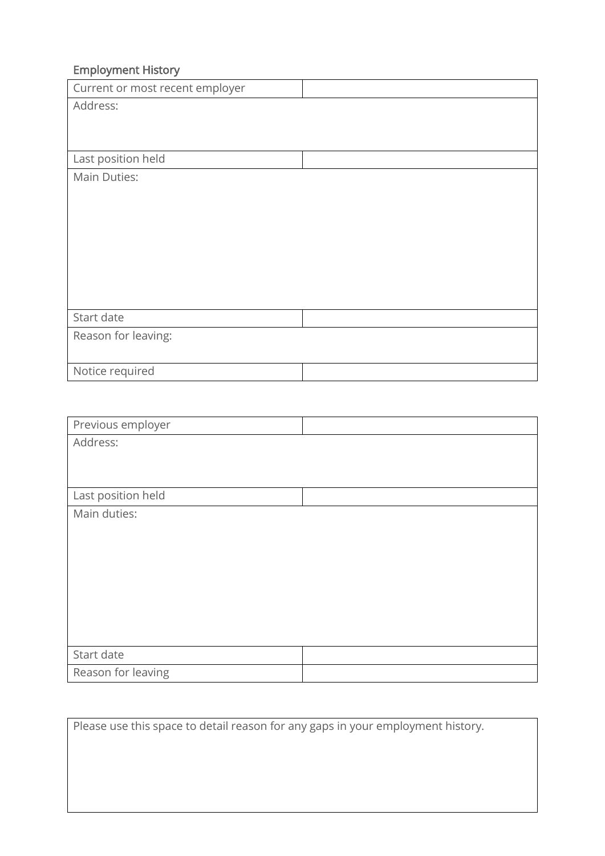# Employment History

| Current or most recent employer |  |
|---------------------------------|--|
| Address:                        |  |
|                                 |  |
|                                 |  |
| Last position held              |  |
| Main Duties:                    |  |
|                                 |  |
|                                 |  |
|                                 |  |
|                                 |  |
|                                 |  |
|                                 |  |
|                                 |  |
| Start date                      |  |
| Reason for leaving:             |  |
|                                 |  |
| Notice required                 |  |

| Previous employer  |  |
|--------------------|--|
| Address:           |  |
|                    |  |
|                    |  |
| Last position held |  |
| Main duties:       |  |
|                    |  |
|                    |  |
|                    |  |
|                    |  |
|                    |  |
|                    |  |
|                    |  |
| Start date         |  |
| Reason for leaving |  |

Please use this space to detail reason for any gaps in your employment history.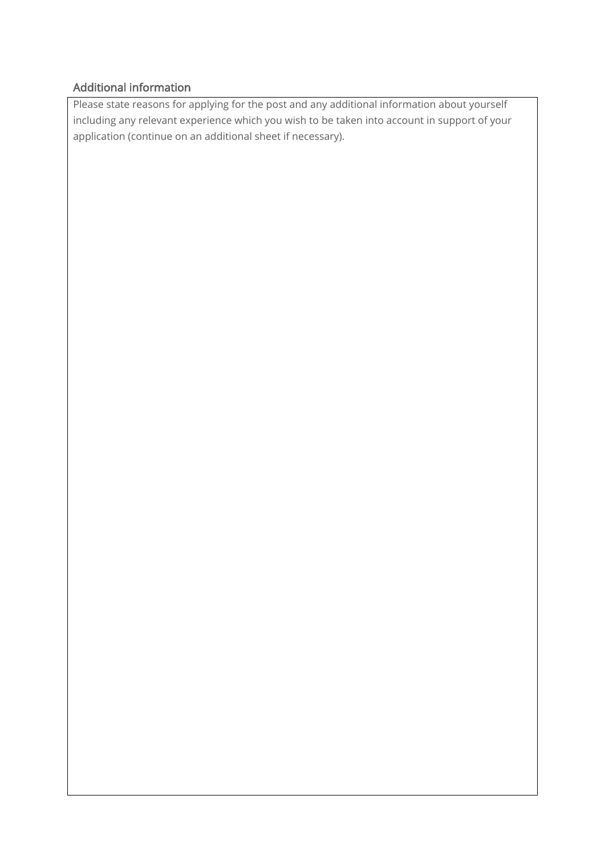#### Additional information

Please state reasons for applying for the post and any additional information about yourself including any relevant experience which you wish to be taken into account in support of your application (continue on an additional sheet if necessary).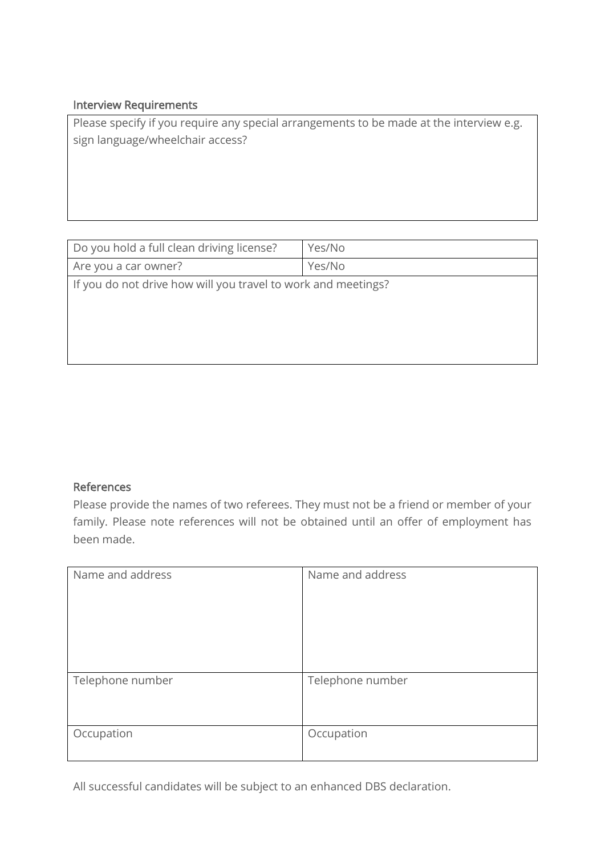#### Interview Requirements

Please specify if you require any special arrangements to be made at the interview e.g. sign language/wheelchair access?

| Do you hold a full clean driving license?                     | Yes/No |
|---------------------------------------------------------------|--------|
| Are you a car owner?                                          | Yes/No |
| If you do not drive how will you travel to work and meetings? |        |

#### References

Please provide the names of two referees. They must not be a friend or member of your family. Please note references will not be obtained until an offer of employment has been made.

| Name and address | Name and address |
|------------------|------------------|
| Telephone number | Telephone number |
| Occupation       | Occupation       |

All successful candidates will be subject to an enhanced DBS declaration.